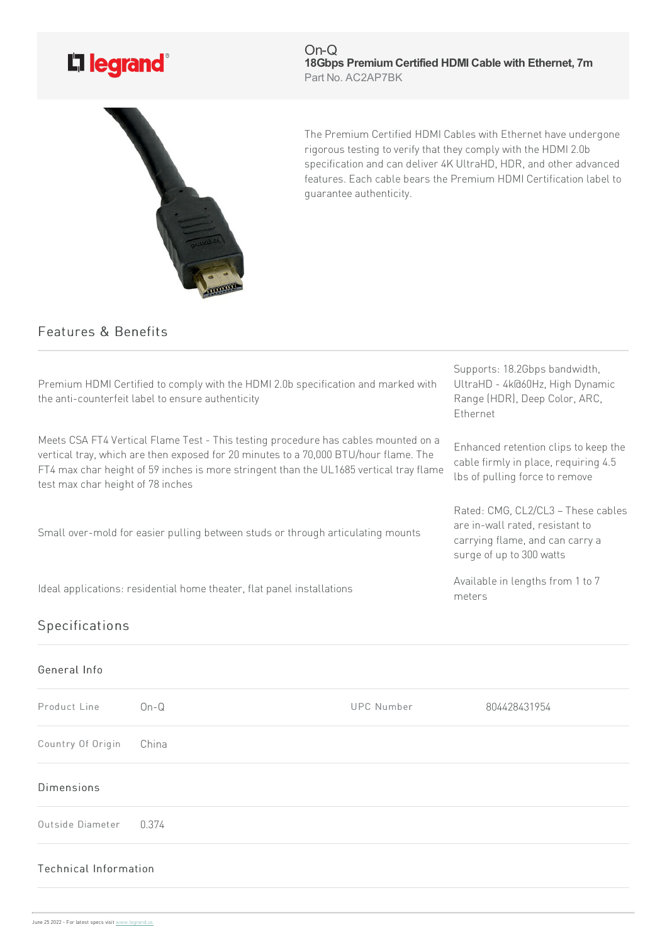

On-Q **18Gbps PremiumCertified HDMI Cable with Ethernet, 7m** Part No. AC2AP7BK



The Premium Certified HDMI Cables with Ethernet have undergone rigorous testing to verify that they comply with the HDMI 2.0b specification and can deliver 4K UltraHD, HDR, and other advanced features. Each cable bears the Premium HDMI Certification label to guarantee authenticity.

## Features & Benefits

| Premium HDMI Certified to comply with the HDMI 2.0b specification and marked with<br>the anti-counterfeit label to ensure authenticity                                                                                                                                                                    | Supports: 18.2Gbps bandwidth,<br>UltraHD - 4k@60Hz, High Dynamic<br>Range (HDR), Deep Color, ARC,<br>Ethernet                        |
|-----------------------------------------------------------------------------------------------------------------------------------------------------------------------------------------------------------------------------------------------------------------------------------------------------------|--------------------------------------------------------------------------------------------------------------------------------------|
| Meets CSA FT4 Vertical Flame Test - This testing procedure has cables mounted on a<br>vertical tray, which are then exposed for 20 minutes to a 70,000 BTU/hour flame. The<br>FT4 max char height of 59 inches is more stringent than the UL1685 vertical tray flame<br>test max char height of 78 inches | Enhanced retention clips to keep the<br>cable firmly in place, requiring 4.5<br>lbs of pulling force to remove                       |
| Small over-mold for easier pulling between studs or through articulating mounts                                                                                                                                                                                                                           | Rated: CMG, CL2/CL3 - These cables<br>are in-wall rated, resistant to<br>carrying flame, and can carry a<br>surge of up to 300 watts |
| Ideal applications: residential home theater, flat panel installations                                                                                                                                                                                                                                    | Available in lengths from 1 to 7<br>meters                                                                                           |
| Specifications                                                                                                                                                                                                                                                                                            |                                                                                                                                      |

## General Info

| Product Line           | $On-Q$ | <b>UPC Number</b> | 804428431954 |  |  |
|------------------------|--------|-------------------|--------------|--|--|
| Country Of Origin      | China  |                   |              |  |  |
| <b>Dimensions</b>      |        |                   |              |  |  |
| Outside Diameter 0.374 |        |                   |              |  |  |
| Technical Information  |        |                   |              |  |  |